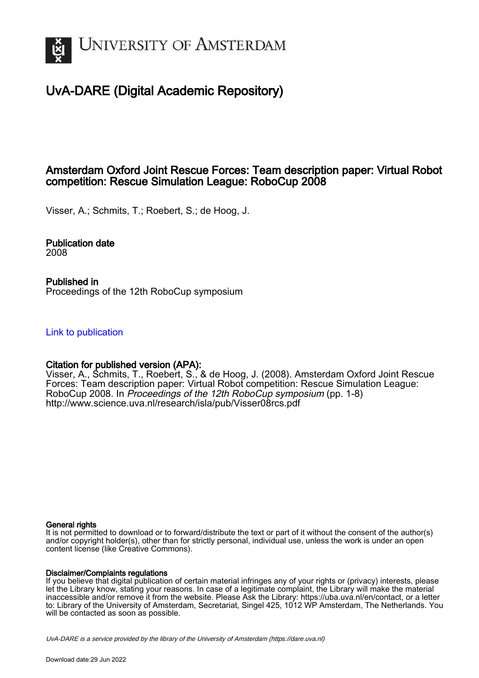

# UvA-DARE (Digital Academic Repository)

## Amsterdam Oxford Joint Rescue Forces: Team description paper: Virtual Robot competition: Rescue Simulation League: RoboCup 2008

Visser, A.; Schmits, T.; Roebert, S.; de Hoog, J.

Publication date 2008

Published in Proceedings of the 12th RoboCup symposium

[Link to publication](https://dare.uva.nl/personal/pure/en/publications/amsterdam-oxford-joint-rescue-forces-team-description-paper-virtual-robot-competition-rescue-simulation-league-robocup-2008(45fd3558-2aaf-4492-823b-d109e16a0fd3).html)

## Citation for published version (APA):

Visser, A., Schmits, T., Roebert, S., & de Hoog, J. (2008). Amsterdam Oxford Joint Rescue Forces: Team description paper: Virtual Robot competition: Rescue Simulation League: RoboCup 2008. In Proceedings of the 12th RoboCup symposium (pp. 1-8) <http://www.science.uva.nl/research/isla/pub/Visser08rcs.pdf>

### General rights

It is not permitted to download or to forward/distribute the text or part of it without the consent of the author(s) and/or copyright holder(s), other than for strictly personal, individual use, unless the work is under an open content license (like Creative Commons).

### Disclaimer/Complaints regulations

If you believe that digital publication of certain material infringes any of your rights or (privacy) interests, please let the Library know, stating your reasons. In case of a legitimate complaint, the Library will make the material inaccessible and/or remove it from the website. Please Ask the Library: https://uba.uva.nl/en/contact, or a letter to: Library of the University of Amsterdam, Secretariat, Singel 425, 1012 WP Amsterdam, The Netherlands. You will be contacted as soon as possible.

UvA-DARE is a service provided by the library of the University of Amsterdam (http*s*://dare.uva.nl)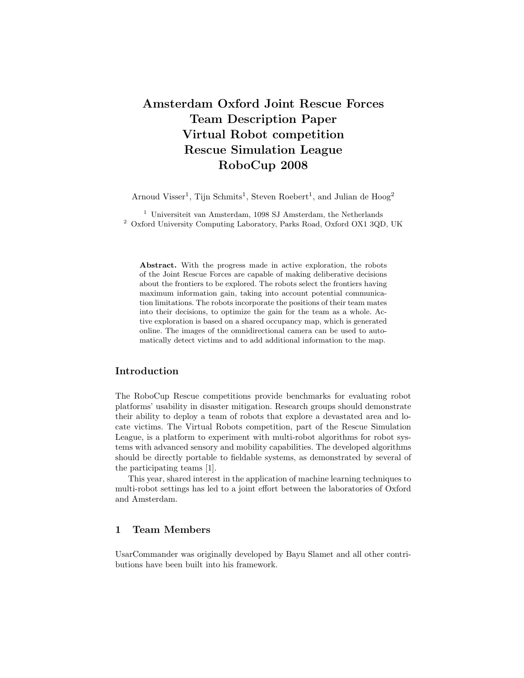## Amsterdam Oxford Joint Rescue Forces Team Description Paper Virtual Robot competition Rescue Simulation League RoboCup 2008

Arnoud Visser<sup>1</sup>, Tijn Schmits<sup>1</sup>, Steven Roebert<sup>1</sup>, and Julian de Hoog<sup>2</sup>

 $^{\rm 1}$ Universiteit van Amsterdam, 1098 SJ Amsterdam, the Netherlands  $^2\,$  Oxford University Computing Laboratory, Parks Road, Oxford OX1 3QD, UK

Abstract. With the progress made in active exploration, the robots of the Joint Rescue Forces are capable of making deliberative decisions about the frontiers to be explored. The robots select the frontiers having maximum information gain, taking into account potential communication limitations. The robots incorporate the positions of their team mates into their decisions, to optimize the gain for the team as a whole. Active exploration is based on a shared occupancy map, which is generated online. The images of the omnidirectional camera can be used to automatically detect victims and to add additional information to the map.

## Introduction

The RoboCup Rescue competitions provide benchmarks for evaluating robot platforms' usability in disaster mitigation. Research groups should demonstrate their ability to deploy a team of robots that explore a devastated area and locate victims. The Virtual Robots competition, part of the Rescue Simulation League, is a platform to experiment with multi-robot algorithms for robot systems with advanced sensory and mobility capabilities. The developed algorithms should be directly portable to fieldable systems, as demonstrated by several of the participating teams [1].

This year, shared interest in the application of machine learning techniques to multi-robot settings has led to a joint effort between the laboratories of Oxford and Amsterdam.

## 1 Team Members

UsarCommander was originally developed by Bayu Slamet and all other contributions have been built into his framework.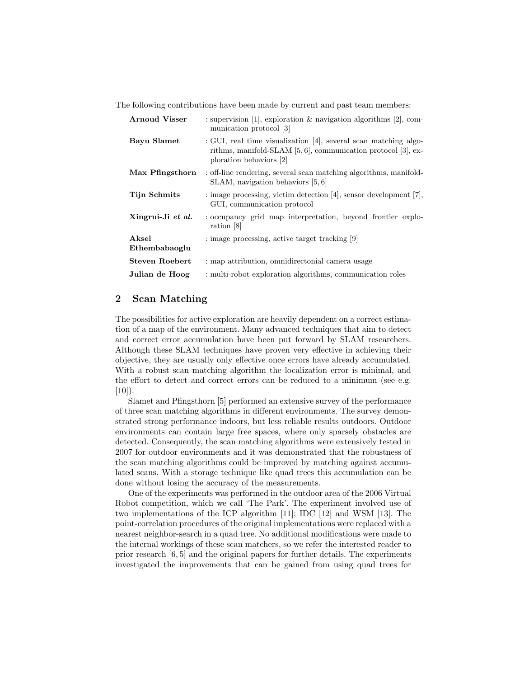The following contributions have been made by current and past team members:

| <b>Arnoud Visser</b>   | : supervision [1], exploration & navigation algorithms [2], com-<br>munication protocol [3]                                                                       |
|------------------------|-------------------------------------------------------------------------------------------------------------------------------------------------------------------|
| Bayu Slamet            | : GUI, real time visualization [4], several scan matching algo-<br>rithms, manifold-SLAM $[5, 6]$ , communication protocol $[3]$ , ex-<br>ploration behaviors [2] |
| Max Pfingsthorn        | : off-line rendering, several scan matching algorithms, manifold-<br>$SLAM$ , navigation behaviors [5, 6]                                                         |
| Tijn Schmits           | $:$ image processing, victim detection [4], sensor development [7],<br>GUI, communication protocol                                                                |
| Xingrui-Ji et al.      | : occupancy grid map interpretation, beyond frontier explo-<br>ration [8]                                                                                         |
| Aksel<br>Ethembabaoglu | : image processing, active target tracking [9]                                                                                                                    |
| Steven Roebert         | : map attribution, omnidirectonial camera usage                                                                                                                   |
| Julian de Hoog         | : multi-robot exploration algorithms, communication roles                                                                                                         |

## 2 Scan Matching

The possibilities for active exploration are heavily dependent on a correct estimation of a map of the environment. Many advanced techniques that aim to detect and correct error accumulation have been put forward by SLAM researchers. Although these SLAM techniques have proven very effective in achieving their objective, they are usually only effective once errors have already accumulated. With a robust scan matching algorithm the localization error is minimal, and the effort to detect and correct errors can be reduced to a minimum (see e.g.  $[10]$ ).

Slamet and Pfingsthorn [5] performed an extensive survey of the performance of three scan matching algorithms in different environments. The survey demonstrated strong performance indoors, but less reliable results outdoors. Outdoor environments can contain large free spaces, where only sparsely obstacles are detected. Consequently, the scan matching algorithms were extensively tested in 2007 for outdoor environments and it was demonstrated that the robustness of the scan matching algorithms could be improved by matching against accumulated scans. With a storage technique like quad trees this accumulation can be done without losing the accuracy of the measurements.

One of the experiments was performed in the outdoor area of the 2006 Virtual Robot competition, which we call 'The Park'. The experiment involved use of two implementations of the ICP algorithm [11]; IDC [12] and WSM [13]. The point-correlation procedures of the original implementations were replaced with a nearest neighbor-search in a quad tree. No additional modifications were made to the internal workings of these scan matchers, so we refer the interested reader to prior research [6, 5] and the original papers for further details. The experiments investigated the improvements that can be gained from using quad trees for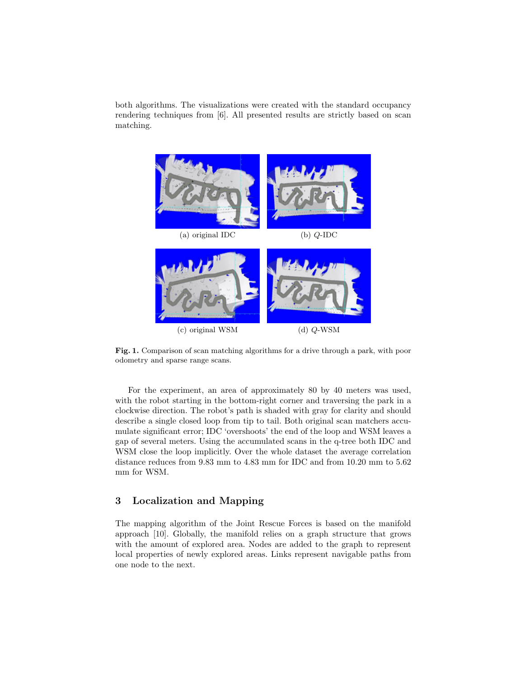both algorithms. The visualizations were created with the standard occupancy rendering techniques from [6]. All presented results are strictly based on scan matching.



Fig. 1. Comparison of scan matching algorithms for a drive through a park, with poor odometry and sparse range scans.

For the experiment, an area of approximately 80 by 40 meters was used, with the robot starting in the bottom-right corner and traversing the park in a clockwise direction. The robot's path is shaded with gray for clarity and should describe a single closed loop from tip to tail. Both original scan matchers accumulate significant error; IDC 'overshoots' the end of the loop and WSM leaves a gap of several meters. Using the accumulated scans in the q-tree both IDC and WSM close the loop implicitly. Over the whole dataset the average correlation distance reduces from 9.83 mm to 4.83 mm for IDC and from 10.20 mm to 5.62 mm for WSM.

## 3 Localization and Mapping

The mapping algorithm of the Joint Rescue Forces is based on the manifold approach [10]. Globally, the manifold relies on a graph structure that grows with the amount of explored area. Nodes are added to the graph to represent local properties of newly explored areas. Links represent navigable paths from one node to the next.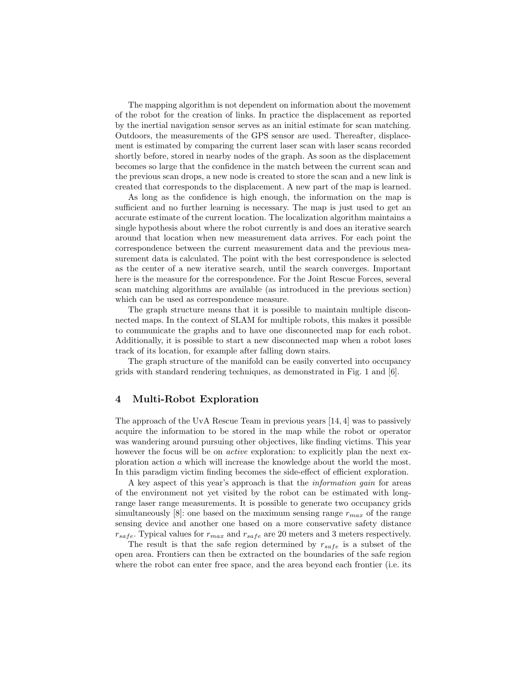The mapping algorithm is not dependent on information about the movement of the robot for the creation of links. In practice the displacement as reported by the inertial navigation sensor serves as an initial estimate for scan matching. Outdoors, the measurements of the GPS sensor are used. Thereafter, displacement is estimated by comparing the current laser scan with laser scans recorded shortly before, stored in nearby nodes of the graph. As soon as the displacement becomes so large that the confidence in the match between the current scan and the previous scan drops, a new node is created to store the scan and a new link is created that corresponds to the displacement. A new part of the map is learned.

As long as the confidence is high enough, the information on the map is sufficient and no further learning is necessary. The map is just used to get an accurate estimate of the current location. The localization algorithm maintains a single hypothesis about where the robot currently is and does an iterative search around that location when new measurement data arrives. For each point the correspondence between the current measurement data and the previous measurement data is calculated. The point with the best correspondence is selected as the center of a new iterative search, until the search converges. Important here is the measure for the correspondence. For the Joint Rescue Forces, several scan matching algorithms are available (as introduced in the previous section) which can be used as correspondence measure.

The graph structure means that it is possible to maintain multiple disconnected maps. In the context of SLAM for multiple robots, this makes it possible to communicate the graphs and to have one disconnected map for each robot. Additionally, it is possible to start a new disconnected map when a robot loses track of its location, for example after falling down stairs.

The graph structure of the manifold can be easily converted into occupancy grids with standard rendering techniques, as demonstrated in Fig. 1 and [6].

#### 4 Multi-Robot Exploration

The approach of the UvA Rescue Team in previous years [14, 4] was to passively acquire the information to be stored in the map while the robot or operator was wandering around pursuing other objectives, like finding victims. This year however the focus will be on *active* exploration: to explicitly plan the next exploration action a which will increase the knowledge about the world the most. In this paradigm victim finding becomes the side-effect of efficient exploration.

A key aspect of this year's approach is that the information gain for areas of the environment not yet visited by the robot can be estimated with longrange laser range measurements. It is possible to generate two occupancy grids simultaneously [8]: one based on the maximum sensing range  $r_{max}$  of the range sensing device and another one based on a more conservative safety distance  $r_{safe}$ . Typical values for  $r_{max}$  and  $r_{safe}$  are 20 meters and 3 meters respectively.

The result is that the safe region determined by  $r_{safe}$  is a subset of the open area. Frontiers can then be extracted on the boundaries of the safe region where the robot can enter free space, and the area beyond each frontier (i.e. its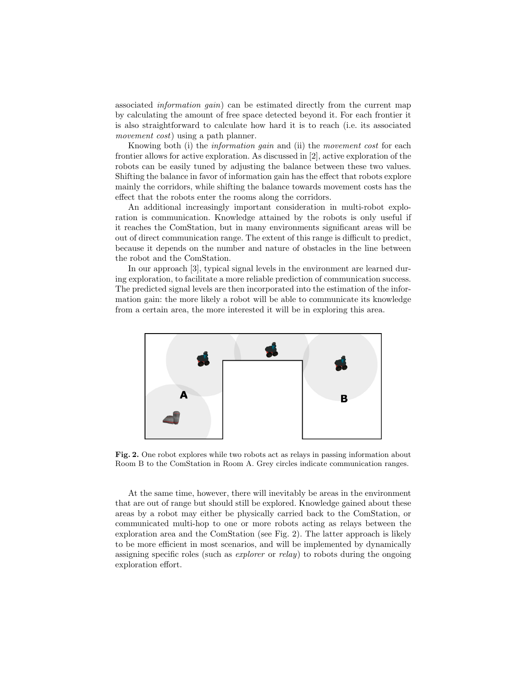associated information gain) can be estimated directly from the current map by calculating the amount of free space detected beyond it. For each frontier it is also straightforward to calculate how hard it is to reach (i.e. its associated movement cost) using a path planner.

Knowing both (i) the information gain and (ii) the movement cost for each frontier allows for active exploration. As discussed in [2], active exploration of the robots can be easily tuned by adjusting the balance between these two values. Shifting the balance in favor of information gain has the effect that robots explore mainly the corridors, while shifting the balance towards movement costs has the effect that the robots enter the rooms along the corridors.

An additional increasingly important consideration in multi-robot exploration is communication. Knowledge attained by the robots is only useful if it reaches the ComStation, but in many environments significant areas will be out of direct communication range. The extent of this range is difficult to predict, because it depends on the number and nature of obstacles in the line between the robot and the ComStation.

In our approach [3], typical signal levels in the environment are learned during exploration, to facilitate a more reliable prediction of communication success. The predicted signal levels are then incorporated into the estimation of the information gain: the more likely a robot will be able to communicate its knowledge from a certain area, the more interested it will be in exploring this area.



Fig. 2. One robot explores while two robots act as relays in passing information about Room B to the ComStation in Room A. Grey circles indicate communication ranges.

At the same time, however, there will inevitably be areas in the environment that are out of range but should still be explored. Knowledge gained about these areas by a robot may either be physically carried back to the ComStation, or communicated multi-hop to one or more robots acting as relays between the exploration area and the ComStation (see Fig. 2). The latter approach is likely to be more efficient in most scenarios, and will be implemented by dynamically assigning specific roles (such as explorer or relay) to robots during the ongoing exploration effort.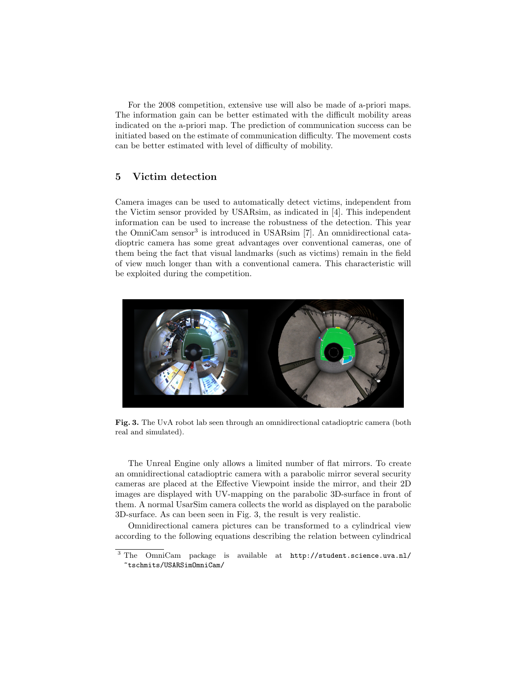For the 2008 competition, extensive use will also be made of a-priori maps. The information gain can be better estimated with the difficult mobility areas indicated on the a-priori map. The prediction of communication success can be initiated based on the estimate of communication difficulty. The movement costs can be better estimated with level of difficulty of mobility.

## 5 Victim detection

Camera images can be used to automatically detect victims, independent from the Victim sensor provided by USARsim, as indicated in [4]. This independent information can be used to increase the robustness of the detection. This year the OmniCam sensor<sup>3</sup> is introduced in USARsim [7]. An omnidirectional catadioptric camera has some great advantages over conventional cameras, one of them being the fact that visual landmarks (such as victims) remain in the field of view much longer than with a conventional camera. This characteristic will be exploited during the competition.



Fig. 3. The UvA robot lab seen through an omnidirectional catadioptric camera (both real and simulated).

The Unreal Engine only allows a limited number of flat mirrors. To create an omnidirectional catadioptric camera with a parabolic mirror several security cameras are placed at the Effective Viewpoint inside the mirror, and their 2D images are displayed with UV-mapping on the parabolic 3D-surface in front of them. A normal UsarSim camera collects the world as displayed on the parabolic 3D-surface. As can been seen in Fig. 3, the result is very realistic.

Omnidirectional camera pictures can be transformed to a cylindrical view according to the following equations describing the relation between cylindrical

<sup>3</sup> The OmniCam package is available at http://student.science.uva.nl/ ~tschmits/USARSimOmniCam/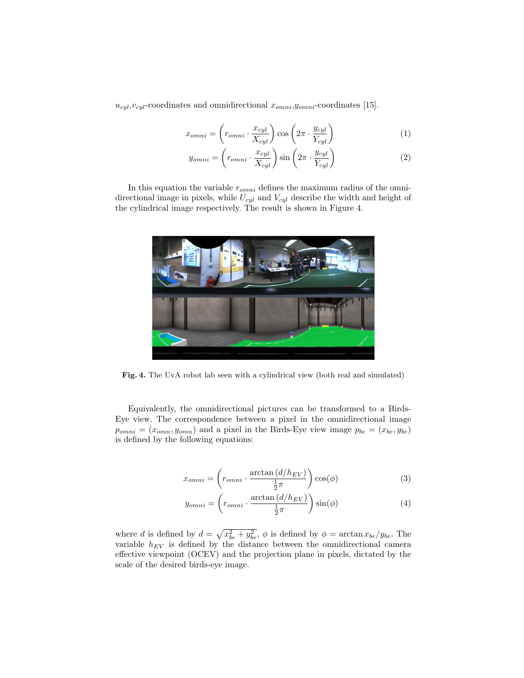$u_{cyl}, v_{cyl}$ -coordinates and omnidirectional  $x_{omni}, y_{omni}$ -coordinates [15].

$$
x_{omni} = \left(r_{omni} \cdot \frac{x_{cyl}}{X_{cyl}}\right) \cos\left(2\pi \cdot \frac{y_{cyl}}{Y_{cyl}}\right) \tag{1}
$$

$$
y_{omni} = \left(r_{omni} \cdot \frac{x_{cyl}}{X_{cyl}}\right) \sin\left(2\pi \cdot \frac{y_{cyl}}{Y_{cyl}}\right) \tag{2}
$$

In this equation the variable  $r_{omni}$  defines the maximum radius of the omnidirectional image in pixels, while  $U_{cyl}$  and  $V_{cyl}$  describe the width and height of the cylindrical image respectively. The result is shown in Figure 4.



Fig. 4. The UvA robot lab seen with a cylindrical view (both real and simulated)

Equivalently, the omnidirectional pictures can be transformed to a Birds-Eye view. The correspondence between a pixel in the omnidirectional image  $p_{omni} = (x_{omn}, y_{omn})$  and a pixel in the Birds-Eye view image  $p_{be} = (x_{be}, y_{be})$ is defined by the following equations:

$$
x_{omni} = \left(r_{omni} \cdot \frac{\arctan\left(d/h_{EV}\right)}{\frac{1}{2}\pi}\right)\cos(\phi) \tag{3}
$$

$$
y_{omni} = \left(r_{omni} \cdot \frac{\arctan\left(\frac{d}{h_{EV}}\right)}{\frac{1}{2}\pi}\right)\sin(\phi) \tag{4}
$$

where d is defined by  $d = \sqrt{x_{be}^2 + y_{be}^2}$ ,  $\phi$  is defined by  $\phi = \arctan x_{be}/y_{be}$ . The variable  $h_{EV}$  is defined by the distance between the omnidirectional camera effective viewpoint (OCEV) and the projection plane in pixels, dictated by the scale of the desired birds-eye image.